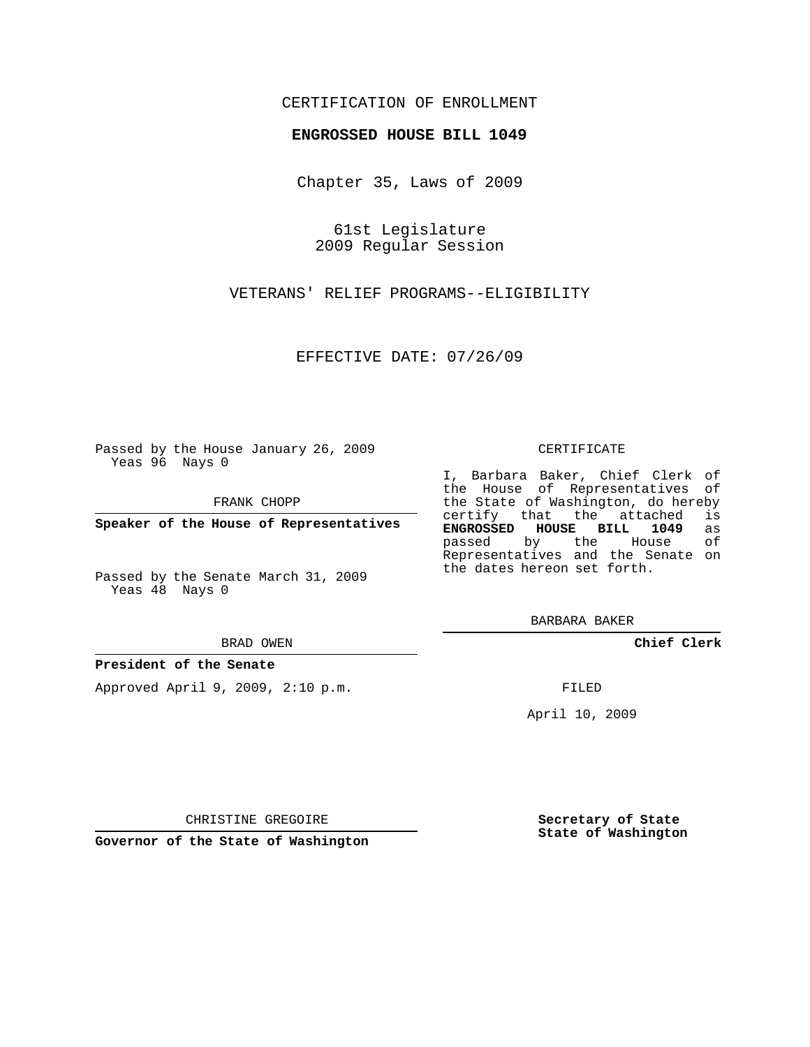## CERTIFICATION OF ENROLLMENT

### **ENGROSSED HOUSE BILL 1049**

Chapter 35, Laws of 2009

61st Legislature 2009 Regular Session

VETERANS' RELIEF PROGRAMS--ELIGIBILITY

EFFECTIVE DATE: 07/26/09

Passed by the House January 26, 2009 Yeas 96 Nays 0

FRANK CHOPP

**Speaker of the House of Representatives**

Passed by the Senate March 31, 2009 Yeas 48 Nays 0

#### BRAD OWEN

### **President of the Senate**

Approved April 9, 2009, 2:10 p.m.

#### CERTIFICATE

I, Barbara Baker, Chief Clerk of the House of Representatives of the State of Washington, do hereby<br>certify that the attached is certify that the attached is<br>**ENGROSSED HOUSE BILL 1049** as **ENGROSSED HOUSE BILL 1049** as passed by the House Representatives and the Senate on the dates hereon set forth.

BARBARA BAKER

**Chief Clerk**

FILED

April 10, 2009

CHRISTINE GREGOIRE

**Governor of the State of Washington**

**Secretary of State State of Washington**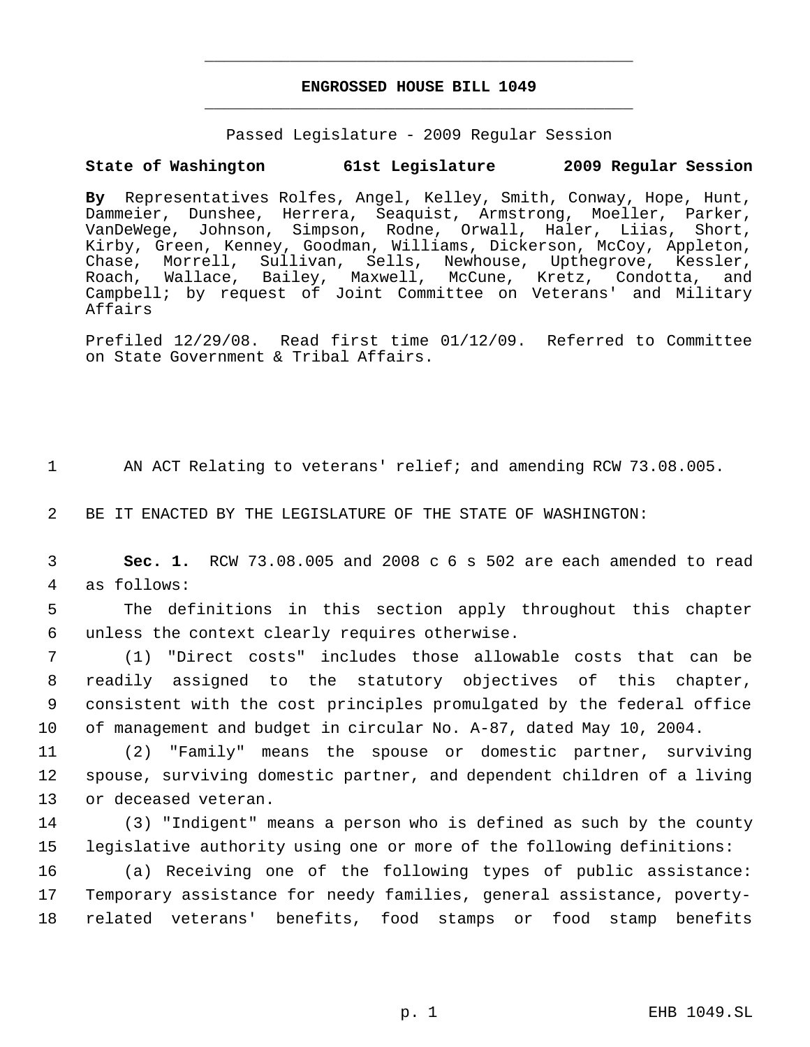# **ENGROSSED HOUSE BILL 1049** \_\_\_\_\_\_\_\_\_\_\_\_\_\_\_\_\_\_\_\_\_\_\_\_\_\_\_\_\_\_\_\_\_\_\_\_\_\_\_\_\_\_\_\_\_

\_\_\_\_\_\_\_\_\_\_\_\_\_\_\_\_\_\_\_\_\_\_\_\_\_\_\_\_\_\_\_\_\_\_\_\_\_\_\_\_\_\_\_\_\_

Passed Legislature - 2009 Regular Session

## **State of Washington 61st Legislature 2009 Regular Session**

**By** Representatives Rolfes, Angel, Kelley, Smith, Conway, Hope, Hunt, Dammeier, Dunshee, Herrera, Seaquist, Armstrong, Moeller, Parker, VanDeWege, Johnson, Simpson, Rodne, Orwall, Haler, Liias, Short, Kirby, Green, Kenney, Goodman, Williams, Dickerson, McCoy, Appleton, Chase, Morrell, Sullivan, Sells, Newhouse, Upthegrove, Kessler, Roach, Wallace, Bailey, Maxwell, McCune, Kretz, Condotta, and Campbell; by request of Joint Committee on Veterans' and Military Affairs

Prefiled 12/29/08. Read first time 01/12/09. Referred to Committee on State Government & Tribal Affairs.

1 AN ACT Relating to veterans' relief; and amending RCW 73.08.005.

2 BE IT ENACTED BY THE LEGISLATURE OF THE STATE OF WASHINGTON:

 3 **Sec. 1.** RCW 73.08.005 and 2008 c 6 s 502 are each amended to read 4 as follows:

 5 The definitions in this section apply throughout this chapter 6 unless the context clearly requires otherwise.

 (1) "Direct costs" includes those allowable costs that can be readily assigned to the statutory objectives of this chapter, consistent with the cost principles promulgated by the federal office of management and budget in circular No. A-87, dated May 10, 2004.

11 (2) "Family" means the spouse or domestic partner, surviving 12 spouse, surviving domestic partner, and dependent children of a living 13 or deceased veteran.

14 (3) "Indigent" means a person who is defined as such by the county 15 legislative authority using one or more of the following definitions:

16 (a) Receiving one of the following types of public assistance: 17 Temporary assistance for needy families, general assistance, poverty-18 related veterans' benefits, food stamps or food stamp benefits